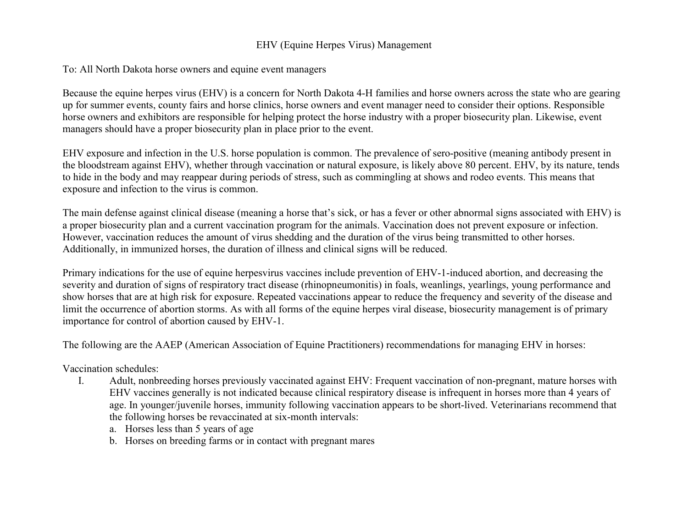## EHV (Equine Herpes Virus) Management

## To: All North Dakota horse owners and equine event managers

Because the equine herpes virus (EHV) is a concern for North Dakota 4-H families and horse owners across the state who are gearing up for summer events, county fairs and horse clinics, horse owners and event manager need to consider their options. Responsible horse owners and exhibitors are responsible for helping protect the horse industry with a proper biosecurity plan. Likewise, event managers should have a proper biosecurity plan in place prior to the event.

EHV exposure and infection in the U.S. horse population is common. The prevalence of sero-positive (meaning antibody present in the bloodstream against EHV), whether through vaccination or natural exposure, is likely above 80 percent. EHV, by its nature, tends to hide in the body and may reappear during periods of stress, such as commingling at shows and rodeo events. This means that exposure and infection to the virus is common.

The main defense against clinical disease (meaning a horse that's sick, or has a fever or other abnormal signs associated with EHV) is a proper biosecurity plan and a current vaccination program for the animals. Vaccination does not prevent exposure or infection. However, vaccination reduces the amount of virus shedding and the duration of the virus being transmitted to other horses. Additionally, in immunized horses, the duration of illness and clinical signs will be reduced.

Primary indications for the use of equine herpesvirus vaccines include prevention of EHV-1-induced abortion, and decreasing the severity and duration of signs of respiratory tract disease (rhinopneumonitis) in foals, weanlings, yearlings, young performance and show horses that are at high risk for exposure. Repeated vaccinations appear to reduce the frequency and severity of the disease and limit the occurrence of abortion storms. As with all forms of the equine herpes viral disease, biosecurity management is of primary importance for control of abortion caused by EHV-1.

The following are the AAEP (American Association of Equine Practitioners) recommendations for managing EHV in horses:

Vaccination schedules:

- I. Adult, nonbreeding horses previously vaccinated against EHV: Frequent vaccination of non-pregnant, mature horses with EHV vaccines generally is not indicated because clinical respiratory disease is infrequent in horses more than 4 years of age. In younger/juvenile horses, immunity following vaccination appears to be short-lived. Veterinarians recommend that the following horses be revaccinated at six-month intervals:
	- a. Horses less than 5 years of age
	- b. Horses on breeding farms or in contact with pregnant mares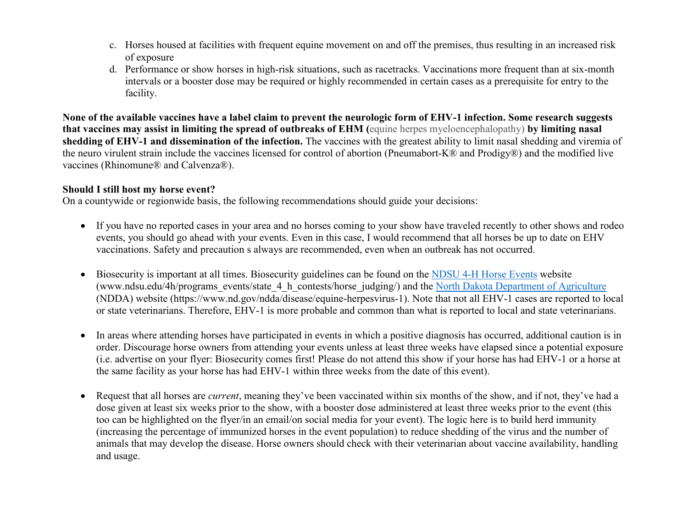- c. Horses housed at facilities with frequent equine movement on and off the premises, thus resulting in an increased risk of exposure
- d. Performance or show horses in high-risk situations, such as racetracks. Vaccinations more frequent than at six-month intervals or a booster dose may be required or highly recommended in certain cases as a prerequisite for entry to the facility.

**None of the available vaccines have a label claim to prevent the neurologic form of EHV-1 infection. Some research suggests that vaccines may assist in limiting the spread of outbreaks of EHM (**equine herpes myeloencephalopathy) **by limiting nasal shedding of EHV-1 and dissemination of the infection.** The vaccines with the greatest ability to limit nasal shedding and viremia of the neuro virulent strain include the vaccines licensed for control of abortion (Pneumabort-K® and Prodigy®) and the modified live vaccines (Rhinomune® and Calvenza®).

## **Should I still host my horse event?**

On a countywide or regionwide basis, the following recommendations should guide your decisions:

- If you have no reported cases in your area and no horses coming to your show have traveled recently to other shows and rodeo events, you should go ahead with your events. Even in this case, I would recommend that all horses be up to date on EHV vaccinations. Safety and precaution s always are recommended, even when an outbreak has not occurred.
- Biosecurity is important at all times. Biosecurity guidelines can be found on the [NDSU 4-H Horse Events](https://www.ndsu.edu/4h/programs_events/state_4_h_contests/horse_judging/) website (www.ndsu.edu/4h/programs\_events/state\_4\_h\_contests/horse\_judging/) and the [North Dakota Department of Agriculture](https://www.nd.gov/ndda/disease/equine-herpesvirus-1) (NDDA) website (https://www.nd.gov/ndda/disease/equine-herpesvirus-1). Note that not all EHV-1 cases are reported to local or state veterinarians. Therefore, EHV-1 is more probable and common than what is reported to local and state veterinarians.
- In areas where attending horses have participated in events in which a positive diagnosis has occurred, additional caution is in order. Discourage horse owners from attending your events unless at least three weeks have elapsed since a potential exposure (i.e. advertise on your flyer: Biosecurity comes first! Please do not attend this show if your horse has had EHV-1 or a horse at the same facility as your horse has had EHV-1 within three weeks from the date of this event).
- Request that all horses are *current*, meaning they've been vaccinated within six months of the show, and if not, they've had a dose given at least six weeks prior to the show, with a booster dose administered at least three weeks prior to the event (this too can be highlighted on the flyer/in an email/on social media for your event). The logic here is to build herd immunity (increasing the percentage of immunized horses in the event population) to reduce shedding of the virus and the number of animals that may develop the disease. Horse owners should check with their veterinarian about vaccine availability, handling and usage.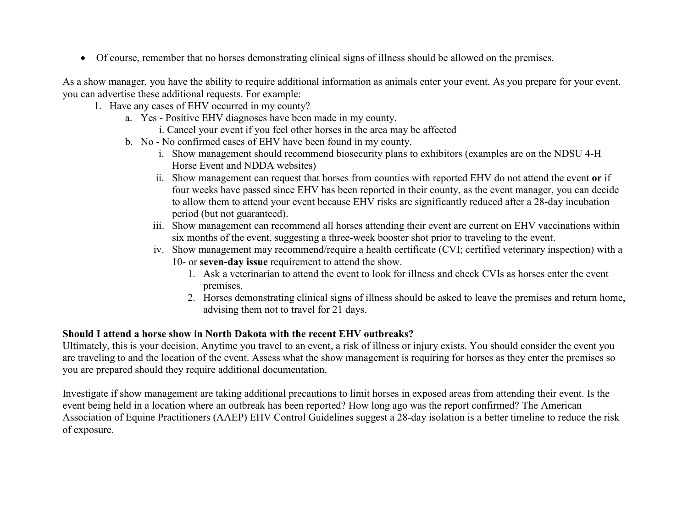Of course, remember that no horses demonstrating clinical signs of illness should be allowed on the premises.

As a show manager, you have the ability to require additional information as animals enter your event. As you prepare for your event, you can advertise these additional requests. For example:

- 1. Have any cases of EHV occurred in my county?
	- a. Yes Positive EHV diagnoses have been made in my county.
		- i. Cancel your event if you feel other horses in the area may be affected
	- b. No No confirmed cases of EHV have been found in my county.
		- i. Show management should recommend biosecurity plans to exhibitors (examples are on the NDSU 4-H Horse Event and NDDA websites)
		- ii. Show management can request that horses from counties with reported EHV do not attend the event **or** if four weeks have passed since EHV has been reported in their county, as the event manager, you can decide to allow them to attend your event because EHV risks are significantly reduced after a 28-day incubation period (but not guaranteed).
		- iii. Show management can recommend all horses attending their event are current on EHV vaccinations within six months of the event, suggesting a three-week booster shot prior to traveling to the event.
		- iv. Show management may recommend/require a health certificate (CVI; certified veterinary inspection) with a 10- or **seven-day issue** requirement to attend the show.
			- 1. Ask a veterinarian to attend the event to look for illness and check CVIs as horses enter the event premises.
			- 2. Horses demonstrating clinical signs of illness should be asked to leave the premises and return home, advising them not to travel for 21 days.

## **Should I attend a horse show in North Dakota with the recent EHV outbreaks?**

Ultimately, this is your decision. Anytime you travel to an event, a risk of illness or injury exists. You should consider the event you are traveling to and the location of the event. Assess what the show management is requiring for horses as they enter the premises so you are prepared should they require additional documentation.

Investigate if show management are taking additional precautions to limit horses in exposed areas from attending their event. Is the event being held in a location where an outbreak has been reported? How long ago was the report confirmed? The American Association of Equine Practitioners (AAEP) EHV Control Guidelines suggest a 28-day isolation is a better timeline to reduce the risk of exposure.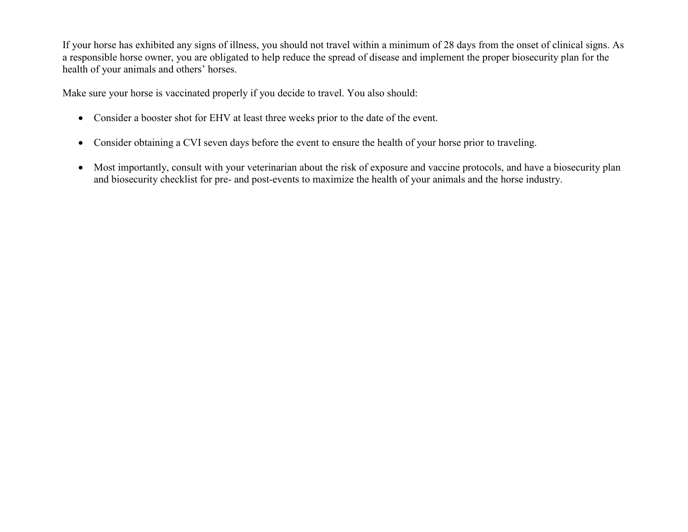If your horse has exhibited any signs of illness, you should not travel within a minimum of 28 days from the onset of clinical signs. As a responsible horse owner, you are obligated to help reduce the spread of disease and implement the proper biosecurity plan for the health of your animals and others' horses.

Make sure your horse is vaccinated properly if you decide to travel. You also should:

- Consider a booster shot for EHV at least three weeks prior to the date of the event.
- Consider obtaining a CVI seven days before the event to ensure the health of your horse prior to traveling.
- Most importantly, consult with your veterinarian about the risk of exposure and vaccine protocols, and have a biosecurity plan and biosecurity checklist for pre- and post-events to maximize the health of your animals and the horse industry.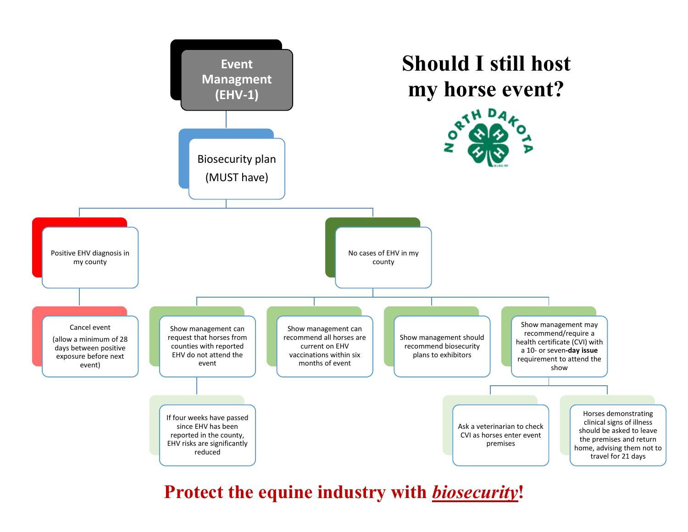

**Protect the equine industry with** *biosecurity***!**